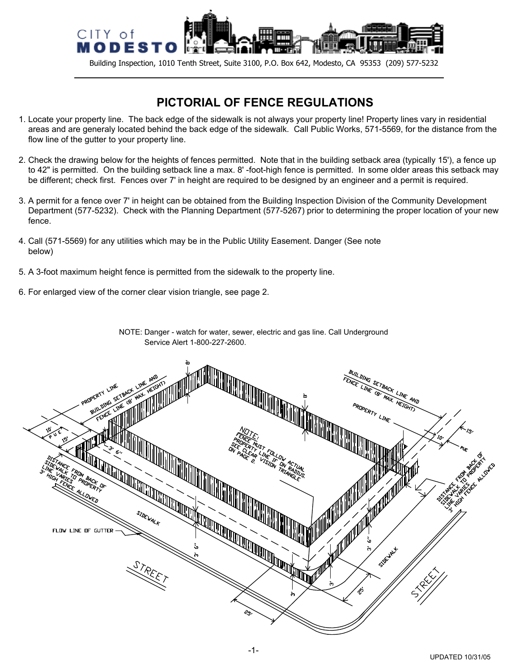

Building Inspection, 1010 Tenth Street, Suite 3100, P.O. Box 642, Modesto, CA 95353 (209) 577-5232

## **PICTORIAL OF FENCE REGULATIONS**

- 1. Locate your property line. The back edge of the sidewalk is not always your property line! Property lines vary in residential areas and are generaly located behind the back edge of the sidewalk. Call Public Works, 571-5569, for the distance from the flow line of the gutter to your property line.
- 2. Check the drawing below for the heights of fences permitted. Note that in the building setback area (typically 15'), a fence up to 42" is permitted. On the building setback line a max. 8' -foot-high fence is permitted. In some older areas this setback may be different; check first. Fences over 7' in height are required to be designed by an engineer and a permit is required.
- 3. A permit for a fence over 7' in height can be obtained from the Building Inspection Division of the Community Development Department (577-5232). Check with the Planning Department (577-5267) prior to determining the proper location of your new fence.

NOTE: Danger - watch for water, sewer, electric and gas line. Call Underground

- 4. Call (571-5569) for any utilities which may be in the Public Utility Easement. Danger (See note below)
- 5. A 3-foot maximum height fence is permitted from the sidewalk to the property line.
- 6. For enlarged view of the corner clear vision triangle, see page 2.